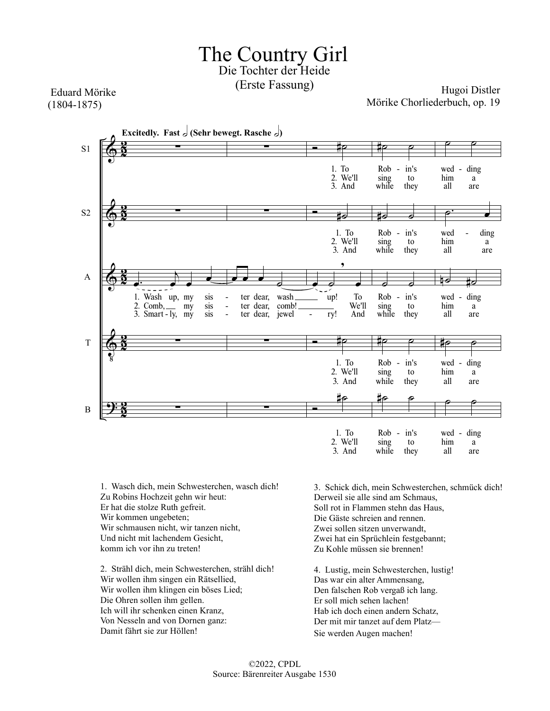## The Country Girl Die Tochter der Heide (Erste Fassung)

 Eduard Mörike (1804-1875)

 Hugoi Distler Mörike Chorliederbuch, op. 19



1. Wasch dich, mein Schwesterchen, wasch dich! Zu Robins Hochzeit gehn wir heut: Er hat die stolze Ruth gefreit. Wir kommen ungebeten; Wir schmausen nicht, wir tanzen nicht, Und nicht mit lachendem Gesicht, komm ich vor ihn zu treten!

2. Strähl dich, mein Schwesterchen, strähl dich! Wir wollen ihm singen ein Rätsellied, Wir wollen ihm klingen ein böses Lied; Die Ohren sollen ihm gellen. Ich will ihr schenken einen Kranz, Von Nesseln and von Dornen ganz: Damit fährt sie zur Höllen!

3. Schick dich, mein Schwesterchen, schmück dich! Derweil sie alle sind am Schmaus, Soll rot in Flammen stehn das Haus, Die Gäste schreien and rennen. Zwei sollen sitzen unverwandt, Zwei hat ein Sprüchlein festgebannt; Zu Kohle müssen sie brennen!

4. Lustig, mein Schwesterchen, lustig! Das war ein alter Ammensang, Den falschen Rob vergaß ich lang. Er soll mich sehen lachen! Hab ich doch einen andern Schatz, Der mit mir tanzet auf dem Platz— Sie werden Augen machen!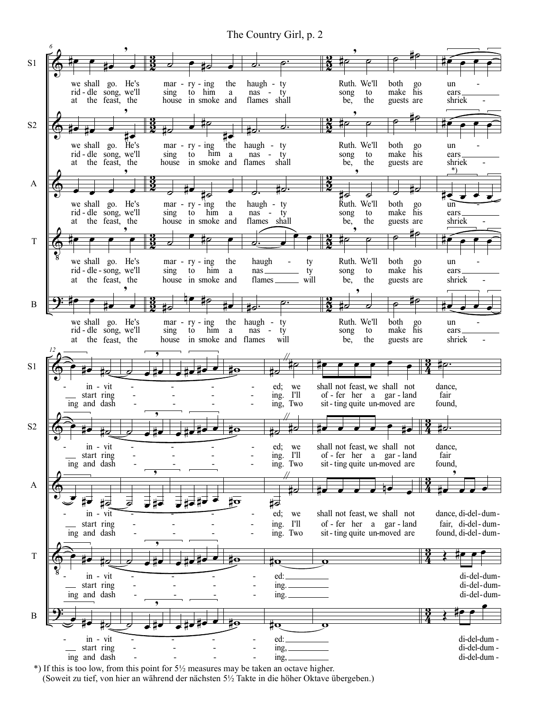The Country Girl, p. 2



\*) If this is too low, from this point for 5½ measures may be taken an octave higher. (Soweit zu tief, von hier an während der nächsten 5½ Takte in die höher Oktave übergeben.)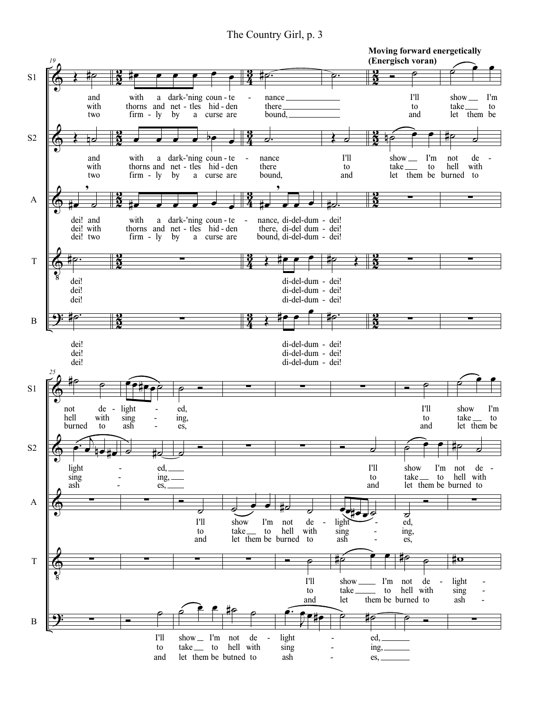The Country Girl, p. 3

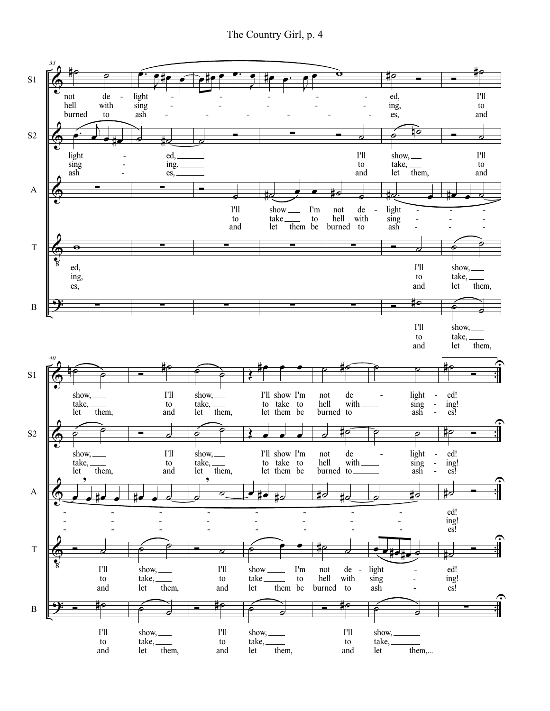The Country Girl, p. 4

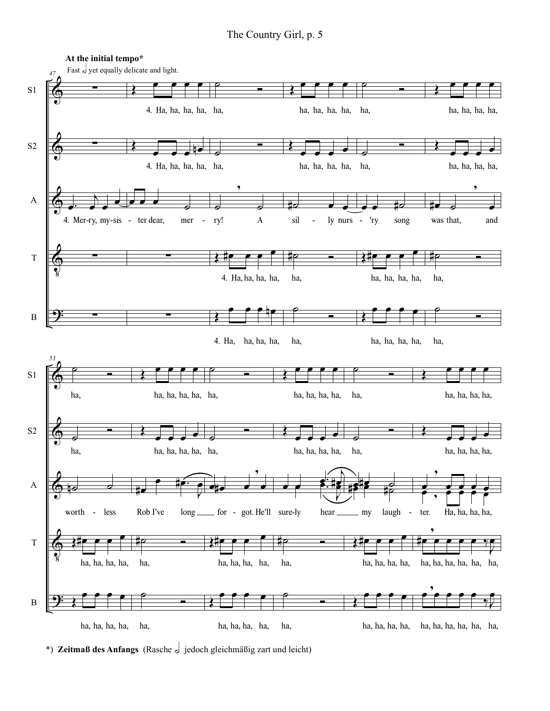

\*) Zeitmaß des Anfangs (Rasche  $\frac{1}{2}$  jedoch gleichmäßig zart und leicht)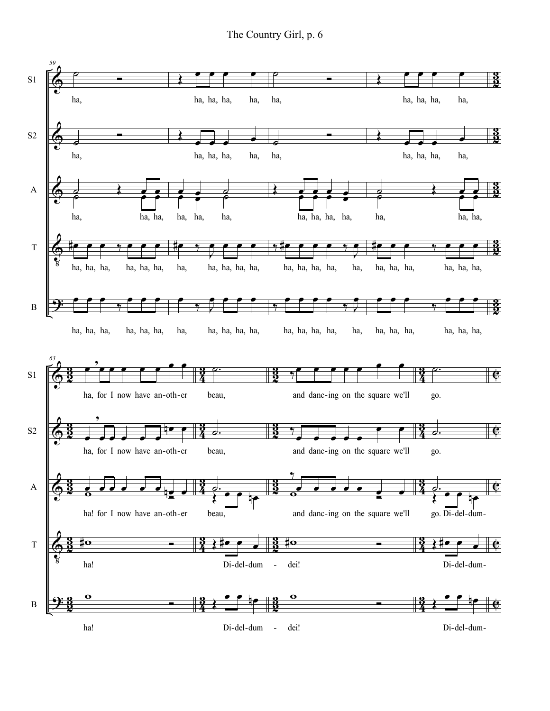